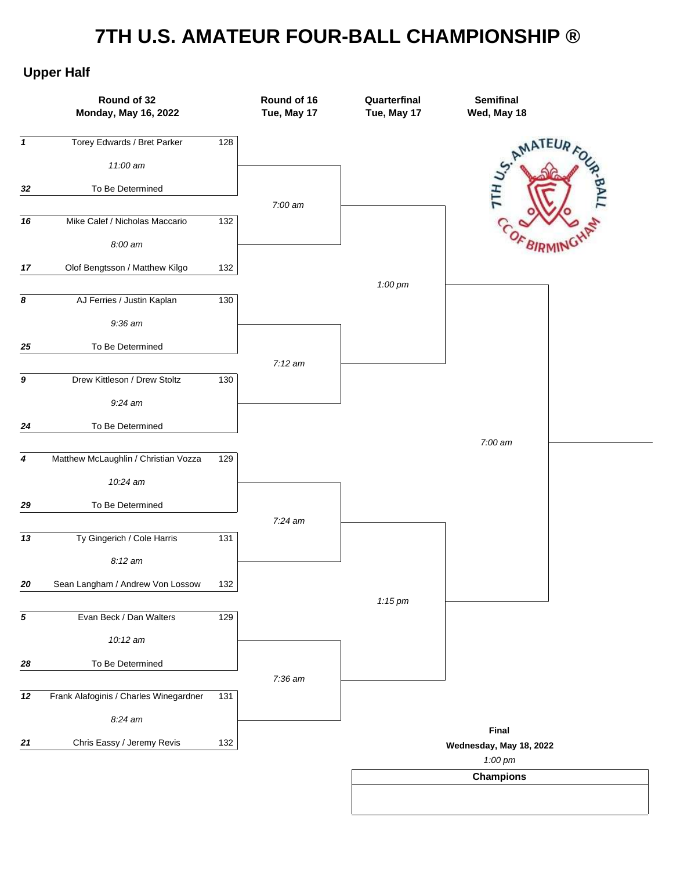## **7TH U.S. AMATEUR FOUR-BALL CHAMPIONSHIP ®**

## **Upper Half**